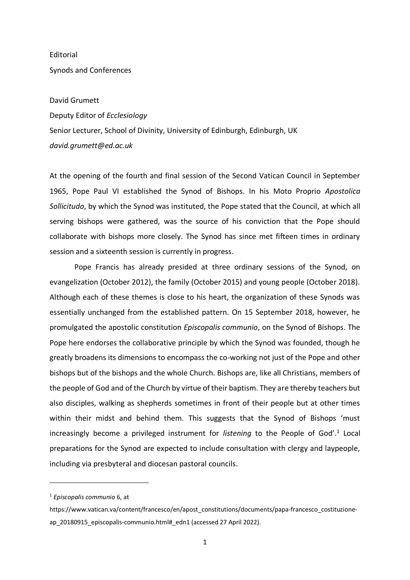**Editorial** Synods and Conferences

## David Grumett

Deputy Editor of *Ecclesiology* Senior Lecturer, School of Divinity, University of Edinburgh, Edinburgh, UK *david.grumett@ed.ac.uk*

At the opening of the fourth and final session of the Second Vatican Council in September 1965, Pope Paul VI established the Synod of Bishops. In his Moto Proprio *Apostolica Sollicitudo*, by which the Synod was instituted, the Pope stated that the Council, at which all serving bishops were gathered, was the source of his conviction that the Pope should collaborate with bishops more closely. The Synod has since met fifteen times in ordinary session and a sixteenth session is currently in progress.

Pope Francis has already presided at three ordinary sessions of the Synod, on evangelization (October 2012), the family (October 2015) and young people (October 2018). Although each of these themes is close to his heart, the organization of these Synods was essentially unchanged from the established pattern. On 15 September 2018, however, he promulgated the apostolic constitution *Episcopalis communio*, on the Synod of Bishops. The Pope here endorses the collaborative principle by which the Synod was founded, though he greatly broadens its dimensions to encompass the co-working not just of the Pope and other bishops but of the bishops and the whole Church. Bishops are, like all Christians, members of the people of God and of the Church by virtue of their baptism. They are thereby teachers but also disciples, walking as shepherds sometimes in front of their people but at other times within their midst and behind them. This suggests that the Synod of Bishops 'must increasingly become a privileged instrument for listening to the People of God'.<sup>1</sup> Local preparations for the Synod are expected to include consultation with clergy and laypeople, including via presbyteral and diocesan pastoral councils.

<sup>1</sup> *Episcopalis communio* 6, at

https://www.vatican.va/content/francesco/en/apost\_constitutions/documents/papa-francesco\_costituzioneap\_20180915\_episcopalis-communio.html#\_edn1 (accessed 27 April 2022).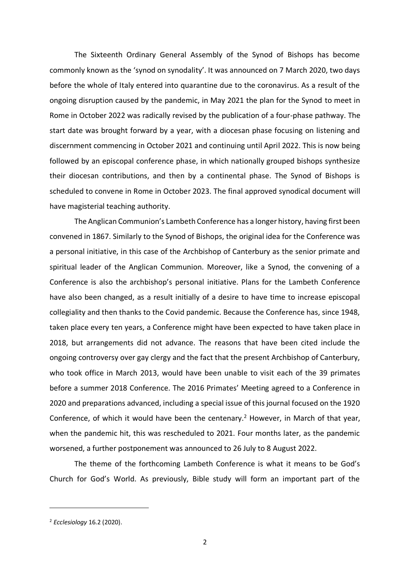The Sixteenth Ordinary General Assembly of the Synod of Bishops has become commonly known as the 'synod on synodality'. It was announced on 7 March 2020, two days before the whole of Italy entered into quarantine due to the coronavirus. As a result of the ongoing disruption caused by the pandemic, in May 2021 the plan for the Synod to meet in Rome in October 2022 was radically revised by the publication of a four-phase pathway. The start date was brought forward by a year, with a diocesan phase focusing on listening and discernment commencing in October 2021 and continuing until April 2022. This is now being followed by an episcopal conference phase, in which nationally grouped bishops synthesize their diocesan contributions, and then by a continental phase. The Synod of Bishops is scheduled to convene in Rome in October 2023. The final approved synodical document will have magisterial teaching authority.

The Anglican Communion's Lambeth Conference has a longer history, having first been convened in 1867. Similarly to the Synod of Bishops, the original idea for the Conference was a personal initiative, in this case of the Archbishop of Canterbury as the senior primate and spiritual leader of the Anglican Communion. Moreover, like a Synod, the convening of a Conference is also the archbishop's personal initiative. Plans for the Lambeth Conference have also been changed, as a result initially of a desire to have time to increase episcopal collegiality and then thanks to the Covid pandemic. Because the Conference has, since 1948, taken place every ten years, a Conference might have been expected to have taken place in 2018, but arrangements did not advance. The reasons that have been cited include the ongoing controversy over gay clergy and the fact that the present Archbishop of Canterbury, who took office in March 2013, would have been unable to visit each of the 39 primates before a summer 2018 Conference. The 2016 Primates' Meeting agreed to a Conference in 2020 and preparations advanced, including a special issue of this journal focused on the 1920 Conference, of which it would have been the centenary.<sup>2</sup> However, in March of that year, when the pandemic hit, this was rescheduled to 2021. Four months later, as the pandemic worsened, a further postponement was announced to 26 July to 8 August 2022.

The theme of the forthcoming Lambeth Conference is what it means to be God's Church for God's World. As previously, Bible study will form an important part of the

<sup>2</sup> *Ecclesiology* 16.2 (2020).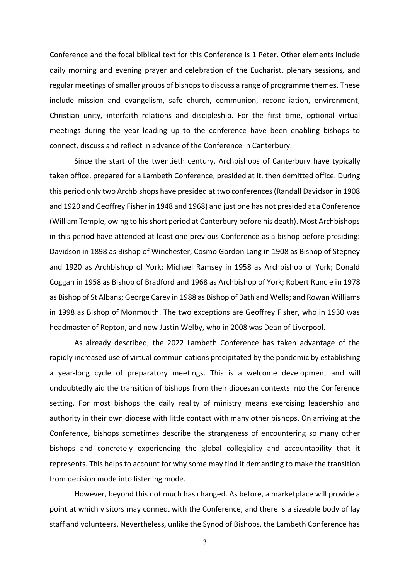Conference and the focal biblical text for this Conference is 1 Peter. Other elements include daily morning and evening prayer and celebration of the Eucharist, plenary sessions, and regular meetings of smaller groups of bishops to discuss a range of programme themes. These include mission and evangelism, safe church, communion, reconciliation, environment, Christian unity, interfaith relations and discipleship. For the first time, optional virtual meetings during the year leading up to the conference have been enabling bishops to connect, discuss and reflect in advance of the Conference in Canterbury.

Since the start of the twentieth century, Archbishops of Canterbury have typically taken office, prepared for a Lambeth Conference, presided at it, then demitted office. During this period only two Archbishops have presided at two conferences (Randall Davidson in 1908 and 1920 and Geoffrey Fisher in 1948 and 1968) and just one has not presided at a Conference (William Temple, owing to his short period at Canterbury before his death). Most Archbishops in this period have attended at least one previous Conference as a bishop before presiding: Davidson in 1898 as Bishop of Winchester; Cosmo Gordon Lang in 1908 as Bishop of Stepney and 1920 as Archbishop of York; Michael Ramsey in 1958 as Archbishop of York; Donald Coggan in 1958 as Bishop of Bradford and 1968 as Archbishop of York; Robert Runcie in 1978 as Bishop of St Albans; George Carey in 1988 as Bishop of Bath and Wells; and Rowan Williams in 1998 as Bishop of Monmouth. The two exceptions are Geoffrey Fisher, who in 1930 was headmaster of Repton, and now Justin Welby, who in 2008 was Dean of Liverpool.

As already described, the 2022 Lambeth Conference has taken advantage of the rapidly increased use of virtual communications precipitated by the pandemic by establishing a year-long cycle of preparatory meetings. This is a welcome development and will undoubtedly aid the transition of bishops from their diocesan contexts into the Conference setting. For most bishops the daily reality of ministry means exercising leadership and authority in their own diocese with little contact with many other bishops. On arriving at the Conference, bishops sometimes describe the strangeness of encountering so many other bishops and concretely experiencing the global collegiality and accountability that it represents. This helps to account for why some may find it demanding to make the transition from decision mode into listening mode.

However, beyond this not much has changed. As before, a marketplace will provide a point at which visitors may connect with the Conference, and there is a sizeable body of lay staff and volunteers. Nevertheless, unlike the Synod of Bishops, the Lambeth Conference has

3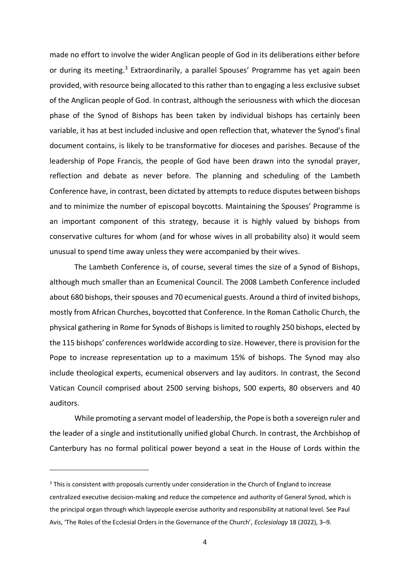made no effort to involve the wider Anglican people of God in its deliberations either before or during its meeting.<sup>3</sup> Extraordinarily, a parallel Spouses' Programme has yet again been provided, with resource being allocated to this rather than to engaging a less exclusive subset of the Anglican people of God. In contrast, although the seriousness with which the diocesan phase of the Synod of Bishops has been taken by individual bishops has certainly been variable, it has at best included inclusive and open reflection that, whatever the Synod's final document contains, is likely to be transformative for dioceses and parishes. Because of the leadership of Pope Francis, the people of God have been drawn into the synodal prayer, reflection and debate as never before. The planning and scheduling of the Lambeth Conference have, in contrast, been dictated by attempts to reduce disputes between bishops and to minimize the number of episcopal boycotts. Maintaining the Spouses' Programme is an important component of this strategy, because it is highly valued by bishops from conservative cultures for whom (and for whose wives in all probability also) it would seem unusual to spend time away unless they were accompanied by their wives.

The Lambeth Conference is, of course, several times the size of a Synod of Bishops, although much smaller than an Ecumenical Council. The 2008 Lambeth Conference included about 680 bishops, their spouses and 70 ecumenical guests. Around a third of invited bishops, mostly from African Churches, boycotted that Conference. In the Roman Catholic Church, the physical gathering in Rome for Synods of Bishops is limited to roughly 250 bishops, elected by the 115 bishops' conferences worldwide according to size. However, there is provision for the Pope to increase representation up to a maximum 15% of bishops. The Synod may also include theological experts, ecumenical observers and lay auditors. In contrast, the Second Vatican Council comprised about 2500 serving bishops, 500 experts, 80 observers and 40 auditors.

While promoting a servant model of leadership, the Pope is both a sovereign ruler and the leader of a single and institutionally unified global Church. In contrast, the Archbishop of Canterbury has no formal political power beyond a seat in the House of Lords within the

<sup>&</sup>lt;sup>3</sup> This is consistent with proposals currently under consideration in the Church of England to increase centralized executive decision-making and reduce the competence and authority of General Synod, which is the principal organ through which laypeople exercise authority and responsibility at national level. See Paul Avis, 'The Roles of the Ecclesial Orders in the Governance of the Church', *Ecclesiology* 18 (2022), 3–9.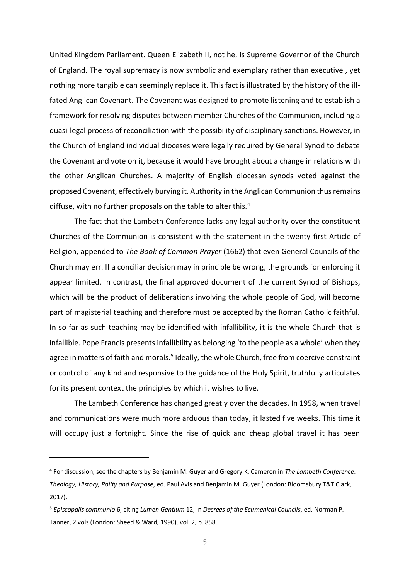United Kingdom Parliament. Queen Elizabeth II, not he, is Supreme Governor of the Church of England. The royal supremacy is now symbolic and exemplary rather than executive , yet nothing more tangible can seemingly replace it. This fact is illustrated by the history of the illfated Anglican Covenant. The Covenant was designed to promote listening and to establish a framework for resolving disputes between member Churches of the Communion, including a quasi-legal process of reconciliation with the possibility of disciplinary sanctions. However, in the Church of England individual dioceses were legally required by General Synod to debate the Covenant and vote on it, because it would have brought about a change in relations with the other Anglican Churches. A majority of English diocesan synods voted against the proposed Covenant, effectively burying it. Authority in the Anglican Communion thus remains diffuse, with no further proposals on the table to alter this.<sup>4</sup>

The fact that the Lambeth Conference lacks any legal authority over the constituent Churches of the Communion is consistent with the statement in the twenty-first Article of Religion, appended to *The Book of Common Prayer* (1662) that even General Councils of the Church may err. If a conciliar decision may in principle be wrong, the grounds for enforcing it appear limited. In contrast, the final approved document of the current Synod of Bishops, which will be the product of deliberations involving the whole people of God, will become part of magisterial teaching and therefore must be accepted by the Roman Catholic faithful. In so far as such teaching may be identified with infallibility, it is the whole Church that is infallible. Pope Francis presents infallibility as belonging 'to the people as a whole' when they agree in matters of faith and morals.<sup>5</sup> Ideally, the whole Church, free from coercive constraint or control of any kind and responsive to the guidance of the Holy Spirit, truthfully articulates for its present context the principles by which it wishes to live.

The Lambeth Conference has changed greatly over the decades. In 1958, when travel and communications were much more arduous than today, it lasted five weeks. This time it will occupy just a fortnight. Since the rise of quick and cheap global travel it has been

<sup>4</sup> For discussion, see the chapters by Benjamin M. Guyer and Gregory K. Cameron in *The Lambeth Conference: Theology, History, Polity and Purpose*, ed. Paul Avis and Benjamin M. Guyer (London: Bloomsbury T&T Clark, 2017).

<sup>5</sup> *Episcopalis communio* 6, citing *Lumen Gentium* 12, in *Decrees of the Ecumenical Councils*, ed. Norman P. Tanner, 2 vols (London: Sheed & Ward, 1990), vol. 2, p. 858.